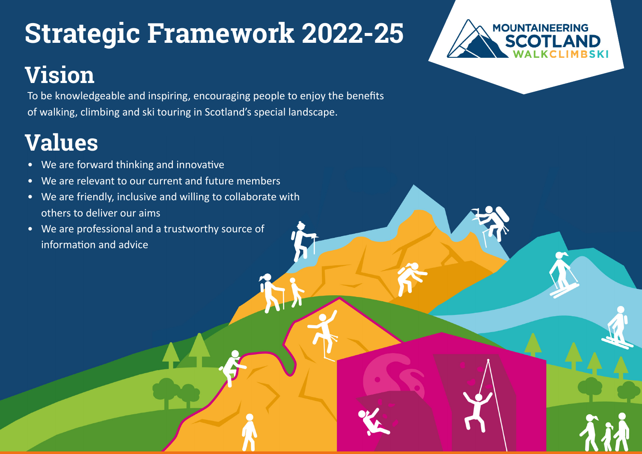## **Strategic Framework 2022-25**

## **Vision**

To be knowledgeable and inspiring, encouraging people to enjoy the benefits of walking, climbing and ski touring in Scotland's special landscape.

## **Values**

- We are forward thinking and innovative
- We are relevant to our current and future members
- We are friendly, inclusive and willing to collaborate with others to deliver our aims
- We are professional and a trustworthy source of information and advice